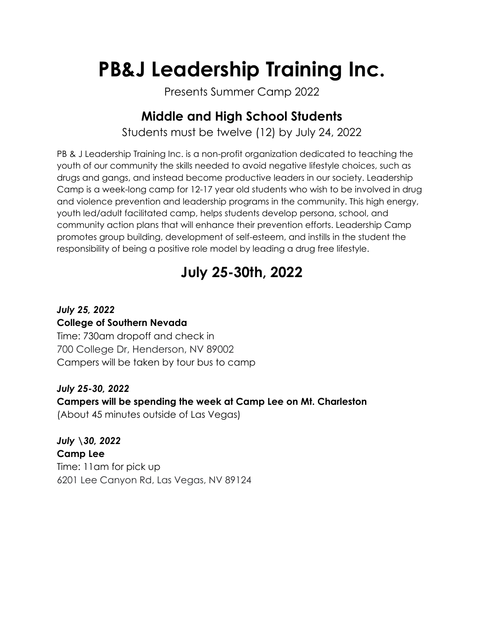# **PB&J Leadership Training Inc.**

Presents Summer Camp 2022

## **Middle and High School Students**

Students must be twelve (12) by July 24, 2022

PB & J Leadership Training Inc. is a non-profit organization dedicated to teaching the youth of our community the skills needed to avoid negative lifestyle choices, such as drugs and gangs, and instead become productive leaders in our society. Leadership Camp is a week-long camp for 12-17 year old students who wish to be involved in drug and violence prevention and leadership programs in the community. This high energy, youth led/adult facilitated camp, helps students develop persona, school, and community action plans that will enhance their prevention efforts. Leadership Camp promotes group building, development of self-esteem, and instills in the student the responsibility of being a positive role model by leading a drug free lifestyle.

# **July 25-30th, 2022**

#### *July 25, 2022* **College of Southern Nevada**

Time: 730am dropoff and check in 700 College Dr, Henderson, NV 89002 Campers will be taken by tour bus to camp

#### *July 25-30, 2022*

#### **Campers will be spending the week at Camp Lee on Mt. Charleston**

(About 45 minutes outside of Las Vegas)

*July \30, 2022* **Camp Lee** Time: 11am for pick up 6201 Lee Canyon Rd, Las Vegas, NV 89124